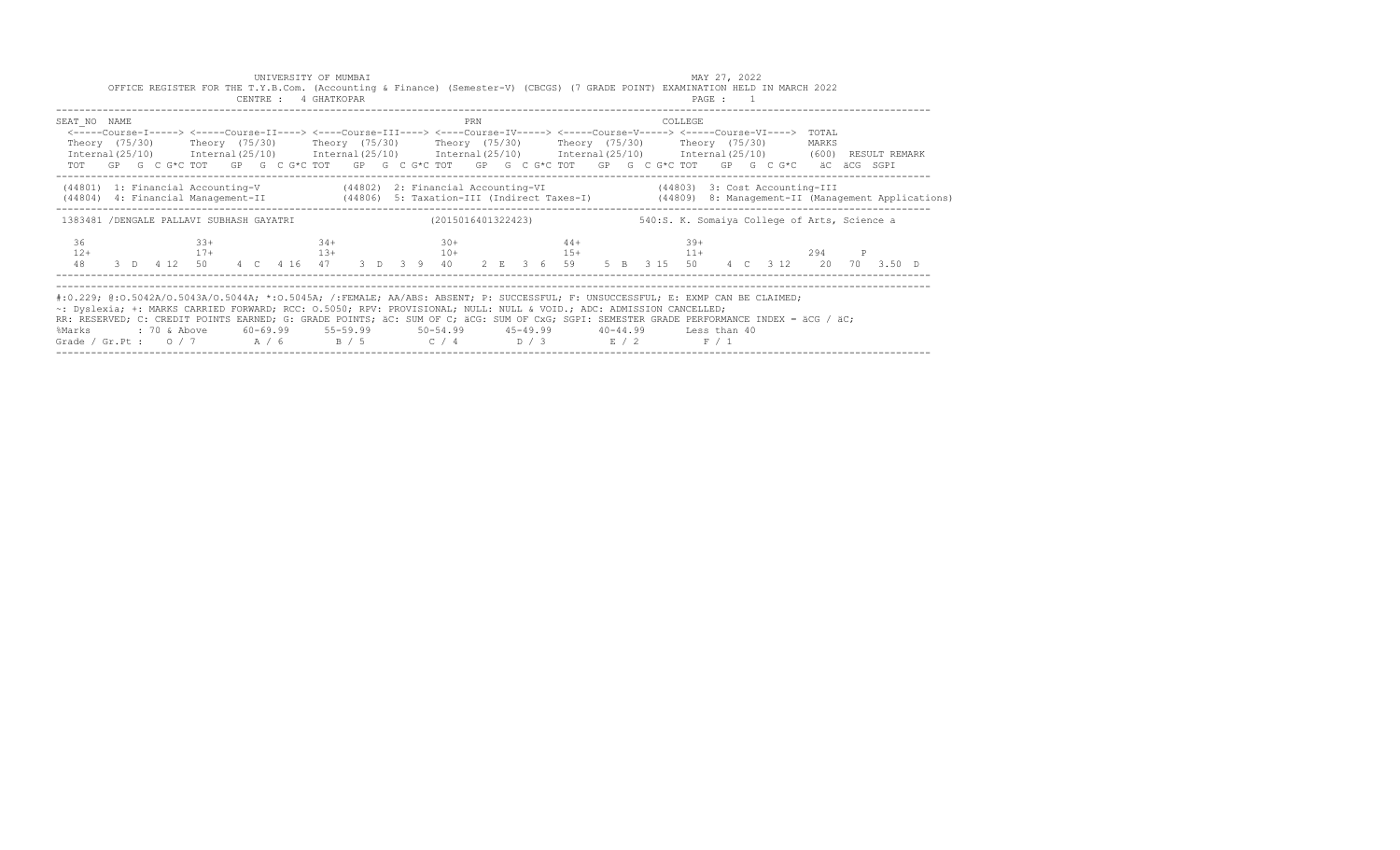| MAY 27, 2022<br>UNIVERSITY OF MUMBAI<br>OFFICE REGISTER FOR THE T.Y.B.Com. (Accounting & Finance) (Semester-V) (CBCGS) (7 GRADE POINT) EXAMINATION HELD IN MARCH 2022<br>CENTRE : 4 GHATKOPAR<br>PAGE : 1                                                                                                                                                                                                                                                                                                                                                   |                                          |  |  |  |                 |  |  |  |  |       |       |  |  |                    |                                                                                                                                                                                                                                                                                                                                                    |     |  |  |  |                      |  |  |                                              |  |                               |  |  |  |  |                    |   |           |  |  |  |  |
|-------------------------------------------------------------------------------------------------------------------------------------------------------------------------------------------------------------------------------------------------------------------------------------------------------------------------------------------------------------------------------------------------------------------------------------------------------------------------------------------------------------------------------------------------------------|------------------------------------------|--|--|--|-----------------|--|--|--|--|-------|-------|--|--|--------------------|----------------------------------------------------------------------------------------------------------------------------------------------------------------------------------------------------------------------------------------------------------------------------------------------------------------------------------------------------|-----|--|--|--|----------------------|--|--|----------------------------------------------|--|-------------------------------|--|--|--|--|--------------------|---|-----------|--|--|--|--|
| SEAT NO NAME<br>Internal(25/10) Internal(25/10) Internal(25/10) Internal(25/10) Internal(25/10) Internal(25/10) (600) RESULT REMARK                                                                                                                                                                                                                                                                                                                                                                                                                         |                                          |  |  |  |                 |  |  |  |  |       |       |  |  |                    | <-----Course-I-----> <-----Course-II----> <----Course-III----> <----Course-IV-----> <-----Course-V-----> <-----Course-VI----><br>Theory (75/30)    Theory (75/30)    Theory (75/30)    Theory (75/30)    Theory (75/30)    Theory (75/30)<br>TOT GP G C G*C TOT GP G C G*C TOT GP G C G*C TOT GP G C G*C TOT GP G C G*C TOT GP G C G*C aC aCG SGPI | PRN |  |  |  |                      |  |  |                                              |  | COLLEGE                       |  |  |  |  | TOTAL<br>MARKS     |   |           |  |  |  |  |
| (44801) 1: Financial Accounting-V (44802) 2: Financial Accounting-VI (44803) 3: Cost Accounting-III<br>(44806) 4: Financial Management-II (44806) 5: Taxation-III (Indirect Taxes-I) (44809) 8: Management-II (Management Applications)                                                                                                                                                                                                                                                                                                                     |                                          |  |  |  |                 |  |  |  |  |       |       |  |  |                    |                                                                                                                                                                                                                                                                                                                                                    |     |  |  |  |                      |  |  |                                              |  |                               |  |  |  |  |                    |   |           |  |  |  |  |
|                                                                                                                                                                                                                                                                                                                                                                                                                                                                                                                                                             | 1383481 /DENGALE PALLAVI SUBHASH GAYATRI |  |  |  |                 |  |  |  |  |       |       |  |  | (2015016401322423) |                                                                                                                                                                                                                                                                                                                                                    |     |  |  |  |                      |  |  | 540:S. K. Somaiya College of Arts, Science a |  |                               |  |  |  |  |                    |   |           |  |  |  |  |
| 36<br>$12+$<br>48                                                                                                                                                                                                                                                                                                                                                                                                                                                                                                                                           |                                          |  |  |  | $33+$<br>$17 +$ |  |  |  |  | $34+$ | $13+$ |  |  |                    | $30+$                                                                                                                                                                                                                                                                                                                                              |     |  |  |  | $44+$<br>$10+$ $15+$ |  |  |                                              |  | $39+$<br>$11+$<br>5 B 3 15 50 |  |  |  |  | 294<br>4 C 3 12 20 | P | 70 3.50 D |  |  |  |  |
| #:0.229; @:0.5042A/0.5043A/0.5044A; *:0.5045A; /:FEMALE; AA/ABS: ABSENT; P: SUCCESSFUL; F: UNSUCCESSFUL; E: EXMP CAN BE CLAIMED;<br>~: Dyslexia; +: MARKS CARRIED FORWARD; RCC: 0.5050; RPV: PROVISIONAL; NULL: NULL & VOID.; ADC: ADMISSION CANCELLED;<br>RR: RESERVED; C: CREDIT POINTS EARNED; G: GRADE POINTS; äC: SUM OF C; äCG: SUM OF CxG; SGPI: SEMESTER GRADE PERFORMANCE INDEX = äCG / äC;<br>: 70 & Above<br>60-69.99 55-59.99 50-54.99 45-49.99 40-44.99 Less than 40<br>%Marks<br>Grade / Gr.Pt : $0/7$ $A/6$ $B/5$ $C/4$ $D/3$ $E/2$<br>F / 1 |                                          |  |  |  |                 |  |  |  |  |       |       |  |  |                    |                                                                                                                                                                                                                                                                                                                                                    |     |  |  |  |                      |  |  |                                              |  |                               |  |  |  |  |                    |   |           |  |  |  |  |

------------------------------------------------------------------------------------------------------------------------------------------------------